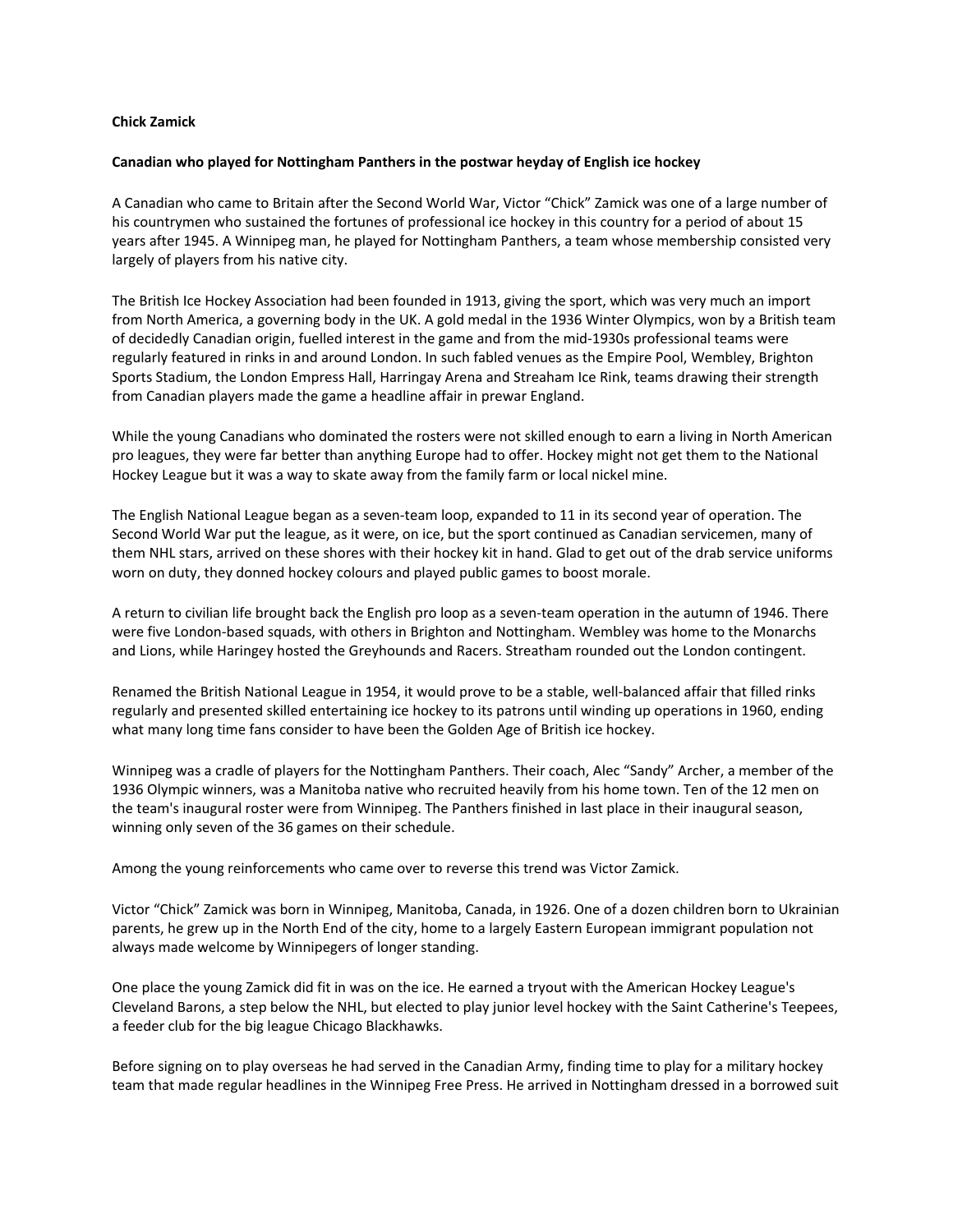## **Chick Zamick**

## **Canadian who played for Nottingham Panthers in the postwar heyday of English ice hockey**

A Canadian who came to Britain after the Second World War, Victor "Chick" Zamick was one of a large number of his countrymen who sustained the fortunes of professional ice hockey in this country for a period of about 15 years after 1945. A Winnipeg man, he played for Nottingham Panthers, a team whose membership consisted very largely of players from his native city.

The British Ice Hockey Association had been founded in 1913, giving the sport, which was very much an import from North America, a governing body in the UK. A gold medal in the 1936 Winter Olympics, won by a British team of decidedly Canadian origin, fuelled interest in the game and from the mid‐1930s professional teams were regularly featured in rinks in and around London. In such fabled venues as the Empire Pool, Wembley, Brighton Sports Stadium, the London Empress Hall, Harringay Arena and Streaham Ice Rink, teams drawing their strength from Canadian players made the game a headline affair in prewar England.

While the young Canadians who dominated the rosters were not skilled enough to earn a living in North American pro leagues, they were far better than anything Europe had to offer. Hockey might not get them to the National Hockey League but it was a way to skate away from the family farm or local nickel mine.

The English National League began as a seven-team loop, expanded to 11 in its second year of operation. The Second World War put the league, as it were, on ice, but the sport continued as Canadian servicemen, many of them NHL stars, arrived on these shores with their hockey kit in hand. Glad to get out of the drab service uniforms worn on duty, they donned hockey colours and played public games to boost morale.

A return to civilian life brought back the English pro loop as a seven‐team operation in the autumn of 1946. There were five London‐based squads, with others in Brighton and Nottingham. Wembley was home to the Monarchs and Lions, while Haringey hosted the Greyhounds and Racers. Streatham rounded out the London contingent.

Renamed the British National League in 1954, it would prove to be a stable, well‐balanced affair that filled rinks regularly and presented skilled entertaining ice hockey to its patrons until winding up operations in 1960, ending what many long time fans consider to have been the Golden Age of British ice hockey.

Winnipeg was a cradle of players for the Nottingham Panthers. Their coach, Alec "Sandy" Archer, a member of the 1936 Olympic winners, was a Manitoba native who recruited heavily from his home town. Ten of the 12 men on the team's inaugural roster were from Winnipeg. The Panthers finished in last place in their inaugural season, winning only seven of the 36 games on their schedule.

Among the young reinforcements who came over to reverse this trend was Victor Zamick.

Victor "Chick" Zamick was born in Winnipeg, Manitoba, Canada, in 1926. One of a dozen children born to Ukrainian parents, he grew up in the North End of the city, home to a largely Eastern European immigrant population not always made welcome by Winnipegers of longer standing.

One place the young Zamick did fit in was on the ice. He earned a tryout with the American Hockey League's Cleveland Barons, a step below the NHL, but elected to play junior level hockey with the Saint Catherine's Teepees, a feeder club for the big league Chicago Blackhawks.

Before signing on to play overseas he had served in the Canadian Army, finding time to play for a military hockey team that made regular headlines in the Winnipeg Free Press. He arrived in Nottingham dressed in a borrowed suit